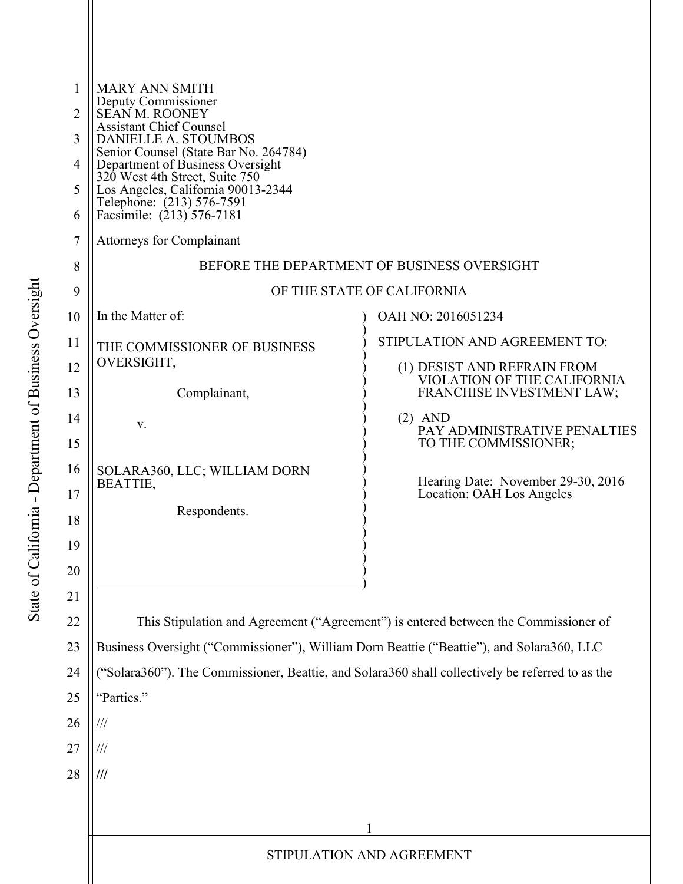| 1<br>$\overline{2}$ | <b>MARY ANN SMITH</b><br>Deputy Commissioner<br>SEANM. ROONEY<br><b>Assistant Chief Counsel</b><br>DANIELLE A. STOUMBOS<br>Senior Counsel (State Bar No. 264784)<br>Department of Business Oversight<br>320 West 4th Street, Suite 750<br>Los Angeles, California 90013-2344 |                                                                 |  |
|---------------------|------------------------------------------------------------------------------------------------------------------------------------------------------------------------------------------------------------------------------------------------------------------------------|-----------------------------------------------------------------|--|
| 3                   |                                                                                                                                                                                                                                                                              |                                                                 |  |
| $\overline{4}$      |                                                                                                                                                                                                                                                                              |                                                                 |  |
| 5                   |                                                                                                                                                                                                                                                                              |                                                                 |  |
| 6                   | Telephone: (213) 576-7591<br>Facsimile: (213) 576-7181                                                                                                                                                                                                                       |                                                                 |  |
| $\overline{7}$      | <b>Attorneys for Complainant</b>                                                                                                                                                                                                                                             |                                                                 |  |
| 8                   | BEFORE THE DEPARTMENT OF BUSINESS OVERSIGHT                                                                                                                                                                                                                                  |                                                                 |  |
| 9                   | OF THE STATE OF CALIFORNIA                                                                                                                                                                                                                                                   |                                                                 |  |
| 10                  | In the Matter of:                                                                                                                                                                                                                                                            | OAH NO: 2016051234                                              |  |
| 11                  | THE COMMISSIONER OF BUSINESS                                                                                                                                                                                                                                                 | STIPULATION AND AGREEMENT TO:                                   |  |
| 12                  | OVERSIGHT,                                                                                                                                                                                                                                                                   | (1) DESIST AND REFRAIN FROM                                     |  |
| 13                  | Complainant,                                                                                                                                                                                                                                                                 | VIOLATION OF THE CALIFORNIA<br>FRANCHISE INVESTMENT LAW;        |  |
| 14                  | V.                                                                                                                                                                                                                                                                           | $(2)$ AND<br>PAY ADMINISTRATIVE PENALTIES                       |  |
| 15                  |                                                                                                                                                                                                                                                                              | TO THE COMMISSIONER;                                            |  |
| 16                  | SOLARA360, LLC; WILLIAM DORN                                                                                                                                                                                                                                                 |                                                                 |  |
| 17                  | <b>BEATTIE,</b>                                                                                                                                                                                                                                                              | Hearing Date: November 29-30, 2016<br>Location: OAH Los Angeles |  |
| 18                  | Respondents.                                                                                                                                                                                                                                                                 |                                                                 |  |
| 19                  |                                                                                                                                                                                                                                                                              |                                                                 |  |
| 20                  |                                                                                                                                                                                                                                                                              |                                                                 |  |
| 21                  |                                                                                                                                                                                                                                                                              |                                                                 |  |
| 22                  | This Stipulation and Agreement ("Agreement") is entered between the Commissioner of                                                                                                                                                                                          |                                                                 |  |
| 23                  | Business Oversight ("Commissioner"), William Dorn Beattie ("Beattie"), and Solara360, LLC                                                                                                                                                                                    |                                                                 |  |
| 24                  | ("Solara360"). The Commissioner, Beattie, and Solara360 shall collectively be referred to as the                                                                                                                                                                             |                                                                 |  |
| 25                  | "Parties."                                                                                                                                                                                                                                                                   |                                                                 |  |
| 26                  | $/\!/ \!/$                                                                                                                                                                                                                                                                   |                                                                 |  |
| 27                  | $\frac{1}{1}$                                                                                                                                                                                                                                                                |                                                                 |  |
| 28                  | $\frac{1}{1}$                                                                                                                                                                                                                                                                |                                                                 |  |
|                     |                                                                                                                                                                                                                                                                              |                                                                 |  |
|                     |                                                                                                                                                                                                                                                                              |                                                                 |  |
|                     | STIPULATION AND AGREEMENT                                                                                                                                                                                                                                                    |                                                                 |  |
|                     |                                                                                                                                                                                                                                                                              |                                                                 |  |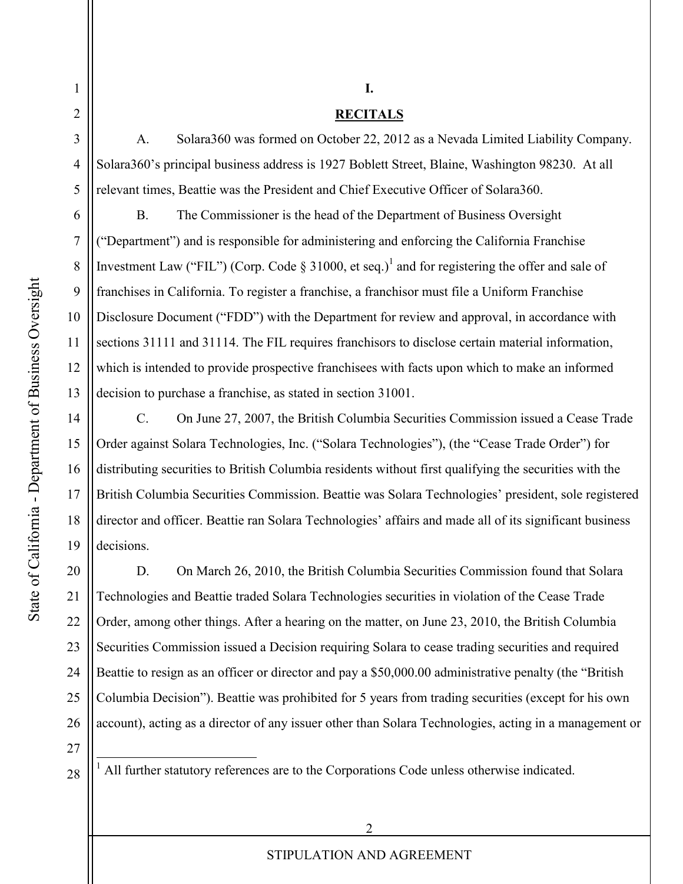1

2

3

4

5

6

7

8

9

10

11

12

13

14

15

16

17

18

19

## **RECITALS**

A. Solara360 was formed on October 22, 2012 as a Nevada Limited Liability Company. Solara360's principal business address is 1927 Boblett Street, Blaine, Washington 98230. At all relevant times, Beattie was the President and Chief Executive Officer of Solara360.

B. The Commissioner is the head of the Department of Business Oversight ("Department") and is responsible for administering and enforcing the California Franchise Investment Law ("FIL") (Corp. Code  $\S 31000$ , et seq.)<sup>1</sup> and for registering the offer and sale of franchises in California. To register a franchise, a franchisor must file a Uniform Franchise Disclosure Document ("FDD") with the Department for review and approval, in accordance with sections 31111 and 31114. The FIL requires franchisors to disclose certain material information, which is intended to provide prospective franchisees with facts upon which to make an informed decision to purchase a franchise, as stated in section 31001.

C. On June 27, 2007, the British Columbia Securities Commission issued a Cease Trade Order against Solara Technologies, Inc. ("Solara Technologies"), (the "Cease Trade Order") for distributing securities to British Columbia residents without first qualifying the securities with the British Columbia Securities Commission. Beattie was Solara Technologies' president, sole registered director and officer. Beattie ran Solara Technologies' affairs and made all of its significant business decisions.

20 21 22 23 24 25 26 D. On March 26, 2010, the British Columbia Securities Commission found that Solara Technologies and Beattie traded Solara Technologies securities in violation of the Cease Trade Order, among other things. After a hearing on the matter, on June 23, 2010, the British Columbia Securities Commission issued a Decision requiring Solara to cease trading securities and required Beattie to resign as an officer or director and pay a \$50,000.00 administrative penalty (the "British Columbia Decision"). Beattie was prohibited for 5 years from trading securities (except for his own account), acting as a director of any issuer other than Solara Technologies, acting in a management or

27 28

l

<sup>1</sup> All further statutory references are to the Corporations Code unless otherwise indicated.

**I.**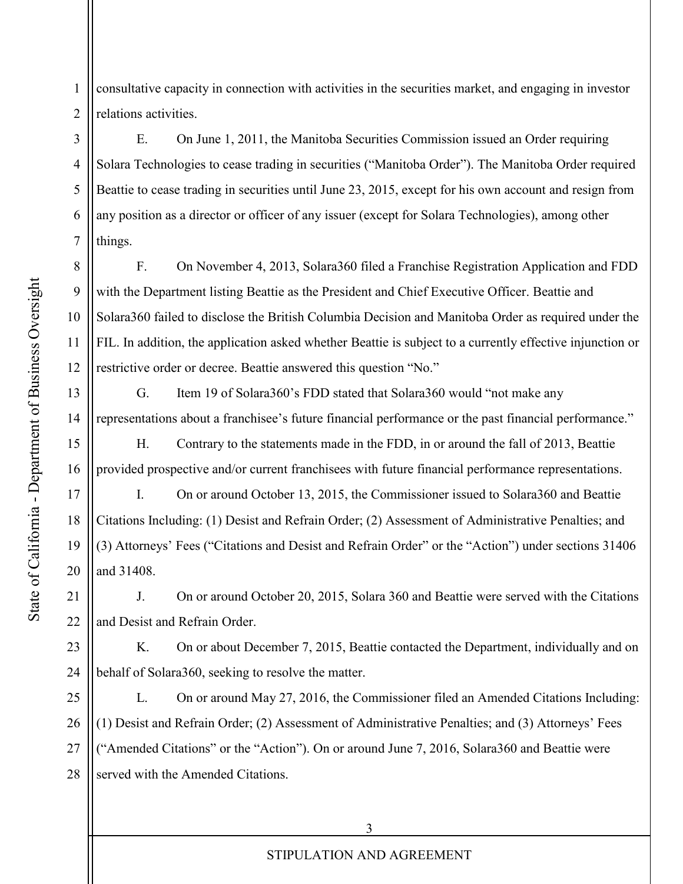State of California - Department of Business Oversight State of California - Department of Business Oversight

8

9

10

11

12

13

14

15

16

17

18

19

20

1 2 consultative capacity in connection with activities in the securities market, and engaging in investor relations activities.

3 4 5 6 7 E. On June 1, 2011, the Manitoba Securities Commission issued an Order requiring Solara Technologies to cease trading in securities ("Manitoba Order"). The Manitoba Order required Beattie to cease trading in securities until June 23, 2015, except for his own account and resign from any position as a director or officer of any issuer (except for Solara Technologies), among other things.

F. On November 4, 2013, Solara360 filed a Franchise Registration Application and FDD with the Department listing Beattie as the President and Chief Executive Officer. Beattie and Solara360 failed to disclose the British Columbia Decision and Manitoba Order as required under the FIL. In addition, the application asked whether Beattie is subject to a currently effective injunction or restrictive order or decree. Beattie answered this question "No."

G. Item 19 of Solara360's FDD stated that Solara360 would "not make any representations about a franchisee's future financial performance or the past financial performance."

H. Contrary to the statements made in the FDD, in or around the fall of 2013, Beattie provided prospective and/or current franchisees with future financial performance representations.

I. On or around October 13, 2015, the Commissioner issued to Solara360 and Beattie Citations Including: (1) Desist and Refrain Order; (2) Assessment of Administrative Penalties; and (3) Attorneys' Fees ("Citations and Desist and Refrain Order" or the "Action") under sections 31406 and 31408.

21 22 J. On or around October 20, 2015, Solara 360 and Beattie were served with the Citations and Desist and Refrain Order.

23 24 K. On or about December 7, 2015, Beattie contacted the Department, individually and on behalf of Solara360, seeking to resolve the matter.

25 26 27 28 L. On or around May 27, 2016, the Commissioner filed an Amended Citations Including: (1) Desist and Refrain Order; (2) Assessment of Administrative Penalties; and (3) Attorneys' Fees ("Amended Citations" or the "Action"). On or around June 7, 2016, Solara360 and Beattie were served with the Amended Citations.

## STIPULATION AND AGREEMENT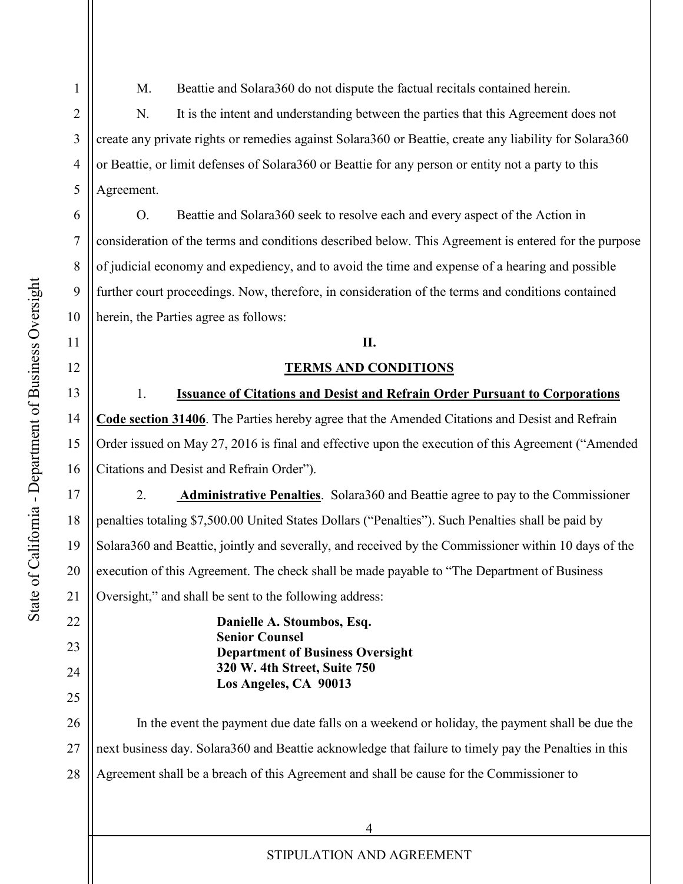State of California - Department of Business Oversight State of California - Department of Business Oversight 1

2

3

4

5

6

7

8

9

10

11

12

13

14

15

16

17

18

19

20

21

22

23

24

25

M. Beattie and Solara360 do not dispute the factual recitals contained herein.

N. It is the intent and understanding between the parties that this Agreement does not create any private rights or remedies against Solara360 or Beattie, create any liability for Solara360 or Beattie, or limit defenses of Solara360 or Beattie for any person or entity not a party to this Agreement.

O. Beattie and Solara360 seek to resolve each and every aspect of the Action in consideration of the terms and conditions described below. This Agreement is entered for the purpose of judicial economy and expediency, and to avoid the time and expense of a hearing and possible further court proceedings. Now, therefore, in consideration of the terms and conditions contained herein, the Parties agree as follows:

## **II.**

## **TERMS AND CONDITIONS**

1. **Issuance of Citations and Desist and Refrain Order Pursuant to Corporations Code section 31406**. The Parties hereby agree that the Amended Citations and Desist and Refrain Order issued on May 27, 2016 is final and effective upon the execution of this Agreement ("Amended Citations and Desist and Refrain Order").

2. **Administrative Penalties**. Solara360 and Beattie agree to pay to the Commissioner penalties totaling \$7,500.00 United States Dollars ("Penalties"). Such Penalties shall be paid by Solara360 and Beattie, jointly and severally, and received by the Commissioner within 10 days of the execution of this Agreement. The check shall be made payable to "The Department of Business Oversight," and shall be sent to the following address:

> **Danielle A. Stoumbos, Esq. Senior Counsel Department of Business Oversight 320 W. 4th Street, Suite 750 Los Angeles, CA 90013**

26 27 28 In the event the payment due date falls on a weekend or holiday, the payment shall be due the next business day. Solara360 and Beattie acknowledge that failure to timely pay the Penalties in this Agreement shall be a breach of this Agreement and shall be cause for the Commissioner to

STIPULATION AND AGREEMENT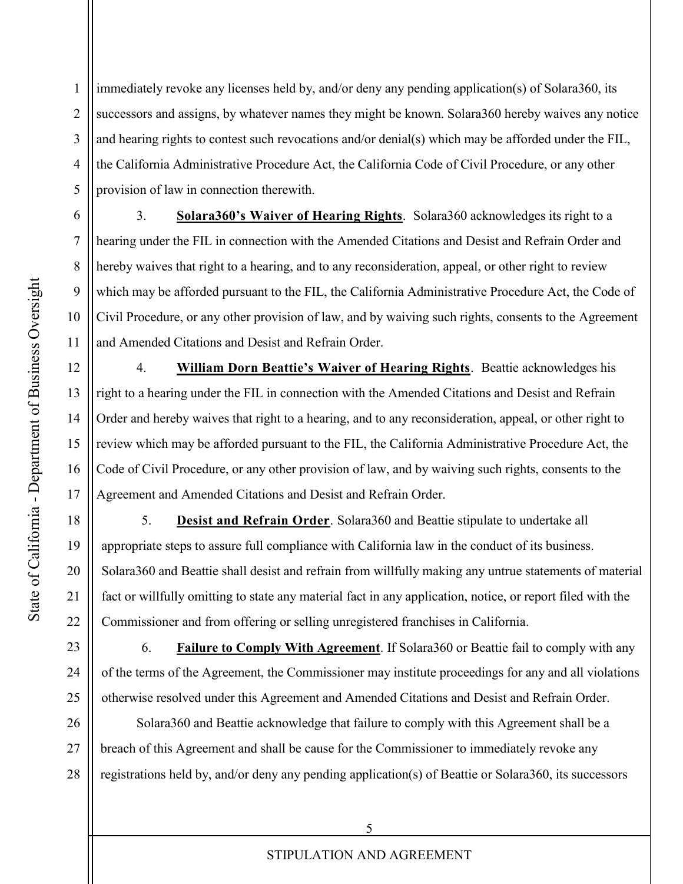1 2 3 4 5 immediately revoke any licenses held by, and/or deny any pending application(s) of Solara360, its successors and assigns, by whatever names they might be known. Solara360 hereby waives any notice and hearing rights to contest such revocations and/or denial(s) which may be afforded under the FIL, the California Administrative Procedure Act, the California Code of Civil Procedure, or any other provision of law in connection therewith.

3. **Solara360's Waiver of Hearing Rights**. Solara360 acknowledges its right to a hearing under the FIL in connection with the Amended Citations and Desist and Refrain Order and hereby waives that right to a hearing, and to any reconsideration, appeal, or other right to review which may be afforded pursuant to the FIL, the California Administrative Procedure Act, the Code of Civil Procedure, or any other provision of law, and by waiving such rights, consents to the Agreement and Amended Citations and Desist and Refrain Order.

4. **William Dorn Beattie's Waiver of Hearing Rights**. Beattie acknowledges his right to a hearing under the FIL in connection with the Amended Citations and Desist and Refrain Order and hereby waives that right to a hearing, and to any reconsideration, appeal, or other right to review which may be afforded pursuant to the FIL, the California Administrative Procedure Act, the Code of Civil Procedure, or any other provision of law, and by waiving such rights, consents to the Agreement and Amended Citations and Desist and Refrain Order.

5. **Desist and Refrain Order**. Solara360 and Beattie stipulate to undertake all appropriate steps to assure full compliance with California law in the conduct of its business. Solara360 and Beattie shall desist and refrain from willfully making any untrue statements of material fact or willfully omitting to state any material fact in any application, notice, or report filed with the Commissioner and from offering or selling unregistered franchises in California.

6. **Failure to Comply With Agreement**. If Solara360 or Beattie fail to comply with any of the terms of the Agreement, the Commissioner may institute proceedings for any and all violations otherwise resolved under this Agreement and Amended Citations and Desist and Refrain Order.

26 27 28 Solara360 and Beattie acknowledge that failure to comply with this Agreement shall be a breach of this Agreement and shall be cause for the Commissioner to immediately revoke any registrations held by, and/or deny any pending application(s) of Beattie or Solara360, its successors

6

7

8

9

10

11

12

13

14

15

16

17

18

19

20

21

22

23

24

25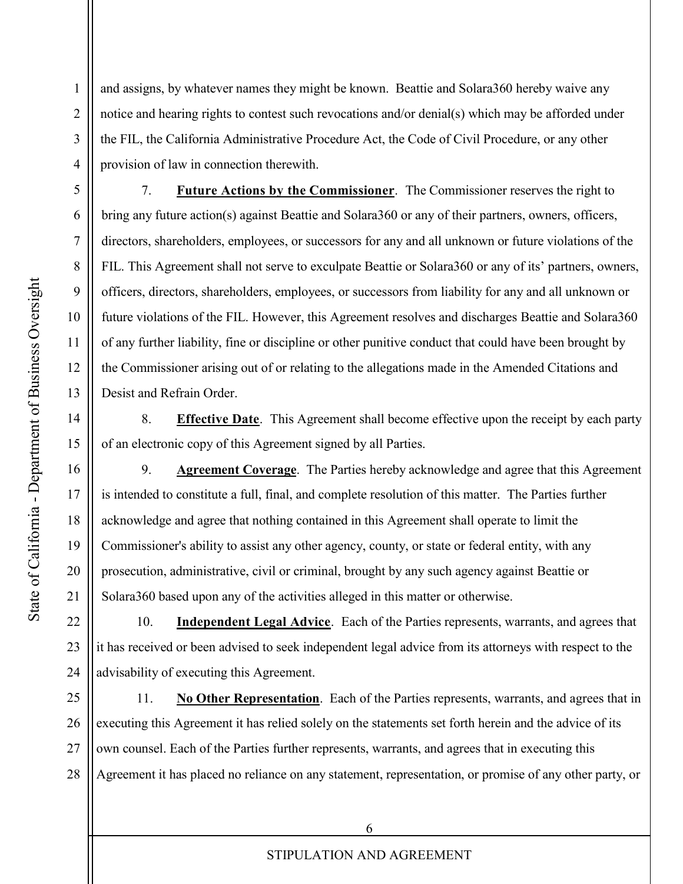and assigns, by whatever names they might be known. Beattie and Solara360 hereby waive any notice and hearing rights to contest such revocations and/or denial(s) which may be afforded under the FIL, the California Administrative Procedure Act, the Code of Civil Procedure, or any other provision of law in connection therewith.

7. **Future Actions by the Commissioner**. The Commissioner reserves the right to bring any future action(s) against Beattie and Solara360 or any of their partners, owners, officers, directors, shareholders, employees, or successors for any and all unknown or future violations of the FIL. This Agreement shall not serve to exculpate Beattie or Solara360 or any of its' partners, owners, officers, directors, shareholders, employees, or successors from liability for any and all unknown or future violations of the FIL. However, this Agreement resolves and discharges Beattie and Solara360 of any further liability, fine or discipline or other punitive conduct that could have been brought by the Commissioner arising out of or relating to the allegations made in the Amended Citations and Desist and Refrain Order.

8. **Effective Date**. This Agreement shall become effective upon the receipt by each party of an electronic copy of this Agreement signed by all Parties.

9. **Agreement Coverage**. The Parties hereby acknowledge and agree that this Agreement is intended to constitute a full, final, and complete resolution of this matter. The Parties further acknowledge and agree that nothing contained in this Agreement shall operate to limit the Commissioner's ability to assist any other agency, county, or state or federal entity, with any prosecution, administrative, civil or criminal, brought by any such agency against Beattie or Solara360 based upon any of the activities alleged in this matter or otherwise.

22 23 24 10. **Independent Legal Advice**. Each of the Parties represents, warrants, and agrees that it has received or been advised to seek independent legal advice from its attorneys with respect to the advisability of executing this Agreement.

25 26 27 28 11. **No Other Representation**. Each of the Parties represents, warrants, and agrees that in executing this Agreement it has relied solely on the statements set forth herein and the advice of its own counsel. Each of the Parties further represents, warrants, and agrees that in executing this Agreement it has placed no reliance on any statement, representation, or promise of any other party, or

1

2

3

4

5

6

7

8

9

10

11

12

13

14

15

16

17

18

19

20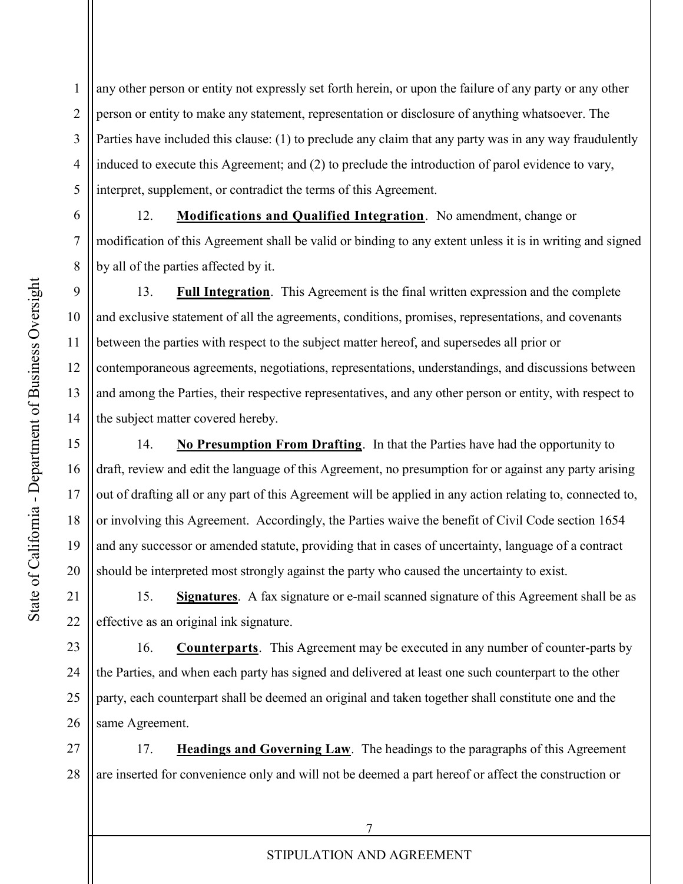1 2 3 4 5 any other person or entity not expressly set forth herein, or upon the failure of any party or any other person or entity to make any statement, representation or disclosure of anything whatsoever. The Parties have included this clause: (1) to preclude any claim that any party was in any way fraudulently induced to execute this Agreement; and (2) to preclude the introduction of parol evidence to vary, interpret, supplement, or contradict the terms of this Agreement.

12. **Modifications and Qualified Integration**. No amendment, change or modification of this Agreement shall be valid or binding to any extent unless it is in writing and signed by all of the parties affected by it.

13. **Full Integration**. This Agreement is the final written expression and the complete and exclusive statement of all the agreements, conditions, promises, representations, and covenants between the parties with respect to the subject matter hereof, and supersedes all prior or contemporaneous agreements, negotiations, representations, understandings, and discussions between and among the Parties, their respective representatives, and any other person or entity, with respect to the subject matter covered hereby.

14. **No Presumption From Drafting**. In that the Parties have had the opportunity to draft, review and edit the language of this Agreement, no presumption for or against any party arising out of drafting all or any part of this Agreement will be applied in any action relating to, connected to, or involving this Agreement. Accordingly, the Parties waive the benefit of Civil Code section 1654 and any successor or amended statute, providing that in cases of uncertainty, language of a contract should be interpreted most strongly against the party who caused the uncertainty to exist.

15. **Signatures**. A fax signature or e-mail scanned signature of this Agreement shall be as effective as an original ink signature.

23 24 25 26 16. **Counterparts**. This Agreement may be executed in any number of counter-parts by the Parties, and when each party has signed and delivered at least one such counterpart to the other party, each counterpart shall be deemed an original and taken together shall constitute one and the same Agreement.

27 28 17. **Headings and Governing Law**. The headings to the paragraphs of this Agreement are inserted for convenience only and will not be deemed a part hereof or affect the construction or

6

7

8

9

10

11

12

13

14

15

16

17

18

19

20

21

22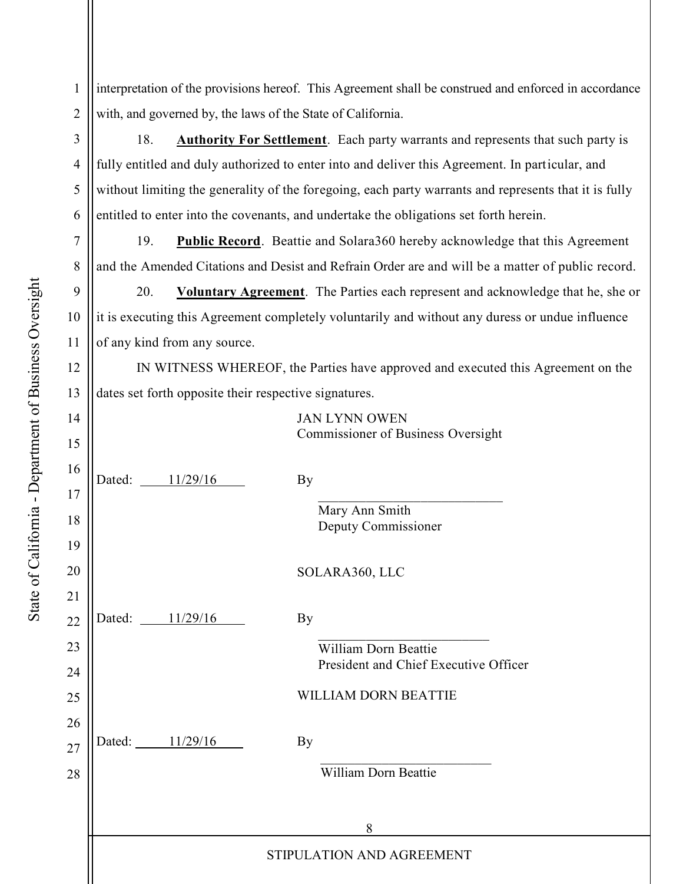1 2 interpretation of the provisions hereof. This Agreement shall be construed and enforced in accordance with, and governed by, the laws of the State of California.

18. **Authority For Settlement**. Each party warrants and represents that such party is fully entitled and duly authorized to enter into and deliver this Agreement. In particular, and without limiting the generality of the foregoing, each party warrants and represents that it is fully entitled to enter into the covenants, and undertake the obligations set forth herein.

19. **Public Record**. Beattie and Solara360 hereby acknowledge that this Agreement and the Amended Citations and Desist and Refrain Order are and will be a matter of public record.

20. **Voluntary Agreement**. The Parties each represent and acknowledge that he, she or it is executing this Agreement completely voluntarily and without any duress or undue influence of any kind from any source.

IN WITNESS WHEREOF, the Parties have approved and executed this Agreement on the dates set forth opposite their respective signatures.

| 14 |                           | <b>JAN LYNN OWEN</b>                  |
|----|---------------------------|---------------------------------------|
| 15 |                           | Commissioner of Business Oversight    |
| 16 | Dated: 11/29/16           | <b>By</b>                             |
| 17 |                           |                                       |
| 18 |                           | Mary Ann Smith<br>Deputy Commissioner |
| 19 |                           |                                       |
| 20 |                           | SOLARA360, LLC                        |
| 21 |                           |                                       |
| 22 | Dated: 11/29/16           | By                                    |
| 23 |                           | <b>William Dorn Beattie</b>           |
| 24 |                           | President and Chief Executive Officer |
| 25 |                           | WILLIAM DORN BEATTIE                  |
| 26 |                           |                                       |
| 27 | Dated: 11/29/16           | <b>By</b>                             |
| 28 |                           | William Dorn Beattie                  |
|    |                           |                                       |
|    |                           | 8                                     |
|    | STIPULATION AND AGREEMENT |                                       |
|    |                           |                                       |

3

4

5

6

7

8

9

10

11

12